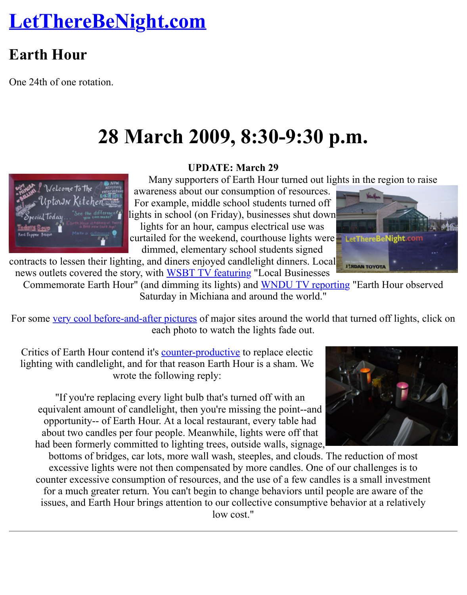# **28 March 2009, 8:30-9:30 p.m.**

#### **UPDATE: March 29**

Many supporters of Earth Hour turned out lights in the regional

awareness about our consumption of resources. For example, middle school students turned off lights in school (on Friday), businesses shut down lights for an hour, campus electrical use was

curtailed for the weekend, courthouse lights were dimmed, elementary school students signed

contracts to lessen their lighting, and diners enjoyed candlelight dinners. Local news outlets covered the story, with WSBT TV featuring "Local Businesses

Commemorate Earth Hour" (and dimming its lights) and WNDU TV reporting "Earth Hour Saturday in Michiana and around the world."

For some very cool before-and-after pictures of major sites around the world that turned off l each photo to watch the lights fade out.

Critics of Earth Hour contend it's **counter-productive** to replace electic lighting with candlelight, and for that reason Earth Hour i[s a sham. We](http://www.wndu.com/localnews/headlines/42061772.html) wrote the following reply:

["If you're replacing every light bul](http://www.boston.com/bigpicture/2009/03/earth_hour_2009.html)b that's turned off with an equivalent amount of candlelight, then you're missing the point--and opportunity-- of Earth Hour. At a local restaurant, every table had about two candles per four p[eople. Meanwhile, l](http://enochthered.wordpress.com/2008/03/31/earth-hour-candles-and-carbon/)ights were off that had been formerly committed to lighting trees, outside walls, signage,

bottoms of bridges, car lots, more wall wash, steeples, and clouds. The reduction of excessive lights were not then compensated by more candles. One of our challenges counter excessive consumption of resources, and the use of a few candles is a small inv for a much greater return. You can't begin to change behaviors until people are aware issues, and Earth Hour brings attention to our collective consumptive behavior at a rel low cost."





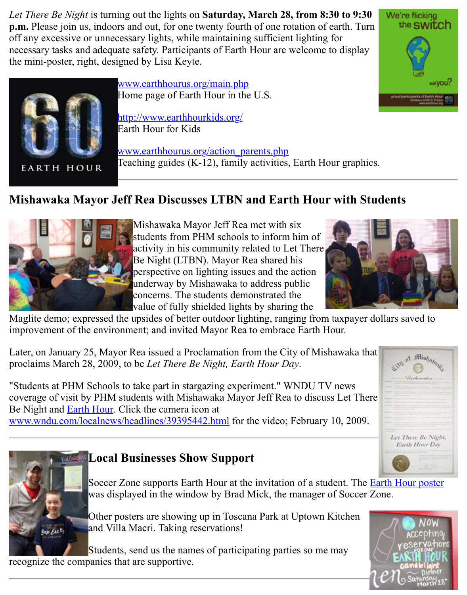

**EARTH HOUR** 

www.earthhourus.org/main.php Home page of Earth Hour in the U.S.

http://www.earthhourkids.org/ Earth Hour for Kids

www.earthhourus.org/action\_parents.php [Teaching guides \(K-12\), family](http://www.earthhourus.org/main.php) activities, Earth Hour graphics.

## **Mishawaka Mayor [Jeff Rea Discusses LTBN](http://www.earthhourus.org/action_parents.php) and Earth Hour with Students**



Mishawaka Mayor Jeff Rea met with six [students from PHM schools to inform](http://www.earthhourus.org/action_parents.php) him of activity in his community related to Let There Be Night (LTBN). Mayor Rea shared his perspective on lighting issues and the action underway by Mishawaka to address public concerns. The students demonstrated the value of fully shielded lights by sharing the



Maglite demo; expressed the upsides of better outdoor lighting, ranging from taxpayer dollars improvement of the environment; and invited Mayor Rea to embrace Earth Hour.

Later, on January 25, Mayor Rea issued a Proclamation from the City of Mishawaka that proclaims March 28, 2009, to be *Let There Be Night, Earth Hour Day*.

"Students at PHM Schools to take part in stargazing experiment." WNDU TV news coverage of visit by PHM students with Mishawaka Mayor Jeff Rea to discuss Let There Be Night and Earth Hour. Click the camera icon at www.wndu.com/localnews/headlines/39395442.html for the video; February 10, 2009.



## **Local Businesses Show Support**

Soccer Zone supports Earth Hour at the invitation of a student. The Earth I [was d](http://www.earthhourus.org/main.php)[isplayed in the window by B](http://www.wndu.com/localnews/headlines/39395442.html)rad Mick, the manager of Soccer Zone.

Other posters are showing up in Toscana Park at Uptown Kitchen and Villa Macri. Taking reservations!

Students, send us the names of participating parties so me may recognize the companies that are supportive.